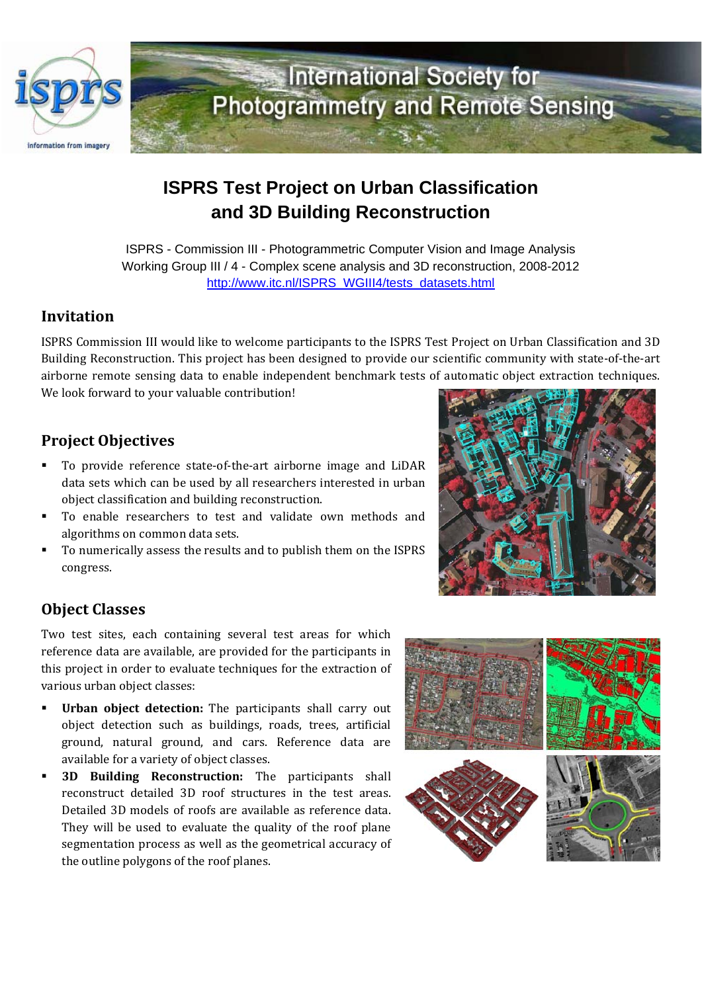

# **ISPRS Test Project on Urban Classification and 3D Building Reconstruction**

ISPRS - Commission III - Photogrammetric Computer Vision and Image Analysis Working Group III / 4 - Complex scene analysis and 3D reconstruction, 2008-2012 http://www.itc.nl/ISPRS\_WGIII4/tests\_datasets.html

### **Invitation**

ISPRS Commission III would like to welcome participants to the ISPRS Test Project on Urban Classification and 3D Building Reconstruction. This project has been designed to provide our scientific community with state‐of‐the‐art airborne remote sensing data to enable independent benchmark tests of automatic object extraction techniques. We look forward to your valuable contribution!

## **Project Objectives**

- To provide reference state-of-the-art airborne image and LiDAR data sets which can be used by all researchers interested in urban object classification and building reconstruction.
- To enable researchers to test and validate own methods and algorithms on common data sets.
- To numerically assess the results and to publish them on the ISPRS congress.

# **Object Classes**

Two test sites, each containing several test areas for which reference data are available, are provided for the participants in this project in order to evaluate techniques for the extraction of various urban object classes:

- **Urban object detection:** The participants shall carry out object detection such as buildings, roads, trees, artificial ground, natural ground, and cars. Reference data are available for a variety of object classes.
- **3D Building Reconstruction:** The participants shall reconstruct detailed 3D roof structures in the test areas. Detailed 3D models of roofs are available as reference data. They will be used to evaluate the quality of the roof plane segmentation process as well as the geometrical accuracy of the outline polygons of the roof planes.